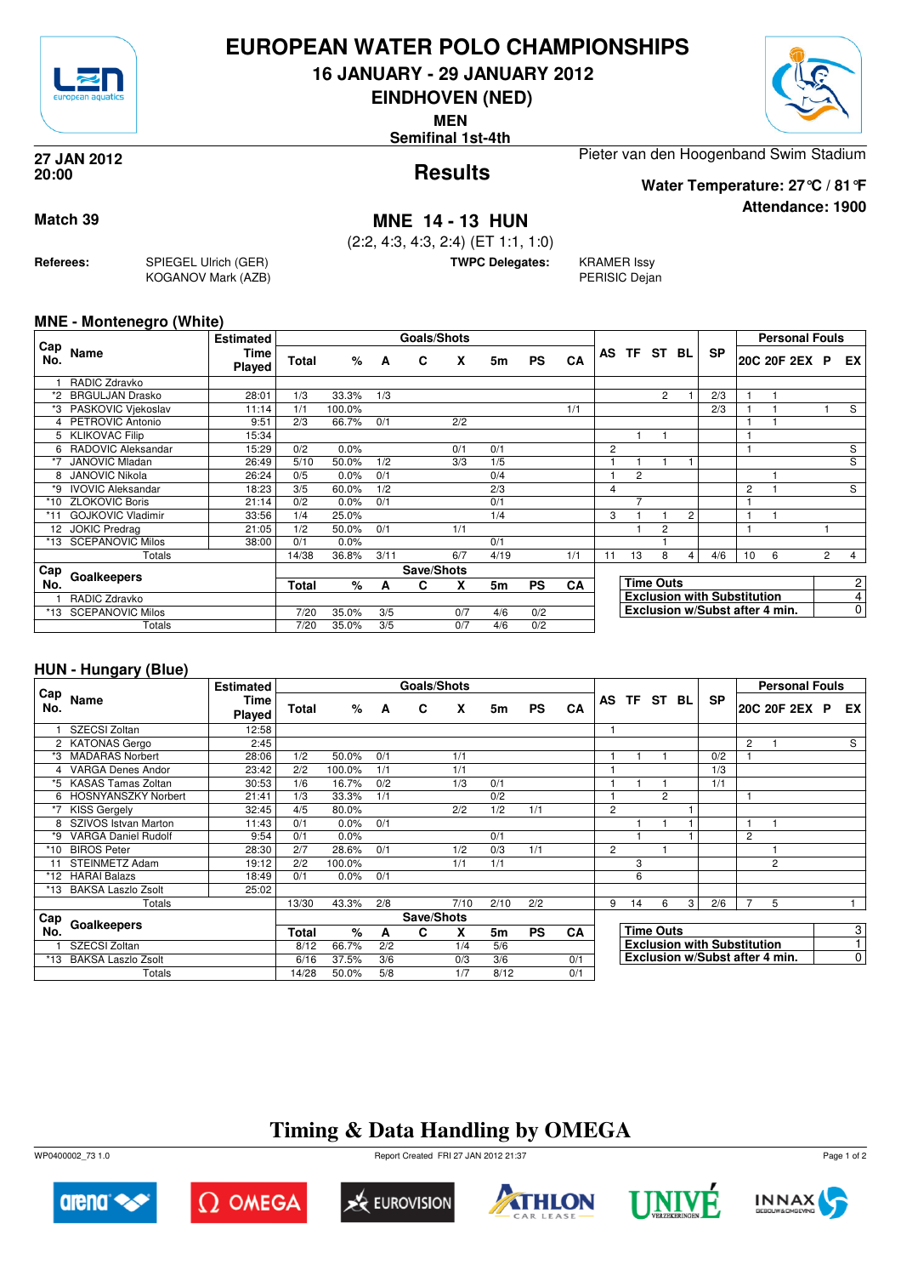

## **EUROPEAN WATER POLO CHAMPIONSHIPS**

**16 JANUARY - 29 JANUARY 2012**

**EINDHOVEN (NED)**

**MEN**

**Semifinal 1st-4th**



**Attendance: 1900**

**Results 27 JAN 2012 20:00**

Pieter van den Hoogenband Swim Stadium

**Water Temperature: 27°C / 81°F**

### **Match 39 MNE 14 - 13 HUN**

(2:2, 4:3, 4:3, 2:4) (ET 1:1, 1:0)

**TWPC Delegates:** KRAMER Issy

PERISIC Dejan

### **MNE - Montenegro (White)**

**Referees:** SPIEGEL Ulrich (GER)

KOGANOV Mark (AZB)

|                 |                          | <b>Estimated</b> |              |        |      | <b>Goals/Shots</b> |     |      |           |           |                |                |                  |   |                                    |    | <b>Personal Fouls</b> |                |                |
|-----------------|--------------------------|------------------|--------------|--------|------|--------------------|-----|------|-----------|-----------|----------------|----------------|------------------|---|------------------------------------|----|-----------------------|----------------|----------------|
| ∟Cap<br>No.     | Name                     | Time<br>Played   | <b>Total</b> | %      | A    | C                  | X   | 5m   | <b>PS</b> | CA        |                | AS TF ST BL    |                  |   | <b>SP</b>                          |    | 20C 20F 2EX           | <b>P</b>       | EX.            |
|                 | RADIC Zdravko            |                  |              |        |      |                    |     |      |           |           |                |                |                  |   |                                    |    |                       |                |                |
|                 | <b>BRGULJAN Drasko</b>   | 28:01            | 1/3          | 33.3%  | 1/3  |                    |     |      |           |           |                |                | 2                |   | 2/3                                |    |                       |                |                |
| *3              | PASKOVIC Viekoslav       | 11:14            | 1/1          | 100.0% |      |                    |     |      |           | 1/1       |                |                |                  |   | 2/3                                |    |                       |                | S              |
| 4               | PETROVIC Antonio         | 9:51             | 2/3          | 66.7%  | 0/1  |                    | 2/2 |      |           |           |                |                |                  |   |                                    |    |                       |                |                |
|                 | <b>KLIKOVAC Filip</b>    | 15:34            |              |        |      |                    |     |      |           |           |                |                |                  |   |                                    |    |                       |                |                |
| 6               | RADOVIC Aleksandar       | 15:29            | 0/2          | 0.0%   |      |                    | 0/1 | 0/1  |           |           | $\overline{c}$ |                |                  |   |                                    |    |                       |                | S              |
|                 | <b>JANOVIC Mladan</b>    | 26:49            | 5/10         | 50.0%  | 1/2  |                    | 3/3 | 1/5  |           |           |                |                |                  |   |                                    |    |                       |                | $\overline{s}$ |
| 8               | <b>JANOVIC Nikola</b>    | 26:24            | 0/5          | 0.0%   | 0/1  |                    |     | 0/4  |           |           |                | $\overline{c}$ |                  |   |                                    |    |                       |                |                |
| *9              | <b>IVOVIC Aleksandar</b> | 18:23            | 3/5          | 60.0%  | 1/2  |                    |     | 2/3  |           |           | 4              |                |                  |   |                                    | 2  |                       |                | S              |
| *10             | <b>ZLOKOVIC Boris</b>    | 21:14            | 0/2          | 0.0%   | 0/1  |                    |     | 0/1  |           |           |                |                |                  |   |                                    |    |                       |                |                |
| *11             | <b>GOJKOVIC Vladimir</b> | 33:56            | 1/4          | 25.0%  |      |                    |     | 1/4  |           |           | 3              |                |                  | 2 |                                    |    |                       |                |                |
| 12 <sup>2</sup> | <b>JOKIC Predrag</b>     | 21:05            | 1/2          | 50.0%  | 0/1  |                    | 1/1 |      |           |           |                |                | $\overline{2}$   |   |                                    |    |                       |                |                |
| *13             | <b>SCEPANOVIC Milos</b>  | 38:00            | 0/1          | 0.0%   |      |                    |     | 0/1  |           |           |                |                |                  |   |                                    |    |                       |                |                |
|                 | Totals                   |                  | 14/38        | 36.8%  | 3/11 |                    | 6/7 | 4/19 |           | 1/1       | 11             | 13             | 8                | 4 | 4/6                                | 10 | 6                     | $\overline{2}$ | $\overline{4}$ |
| Cap             |                          |                  |              |        |      | Save/Shots         |     |      |           |           |                |                |                  |   |                                    |    |                       |                |                |
| No.             | Goalkeepers              |                  | <b>Total</b> | %      | A    | С                  | X   | 5m   | <b>PS</b> | <b>CA</b> |                |                | <b>Time Outs</b> |   |                                    |    |                       |                | $\overline{2}$ |
|                 | RADIC Zdravko            |                  |              |        |      |                    |     |      |           |           |                |                |                  |   | <b>Exclusion with Substitution</b> |    |                       |                | 4              |
| $*13$           | <b>SCEPANOVIC Milos</b>  |                  | 7/20         | 35.0%  | 3/5  |                    | 0/7 | 4/6  | 0/2       |           |                |                |                  |   | Exclusion w/Subst after 4 min.     |    |                       |                | $\overline{0}$ |
|                 | Totals                   |                  | 7/20         | 35.0%  | 3/5  |                    | 0/7 | 4/6  | 0/2       |           |                |                |                  |   |                                    |    |                       |                |                |

### **HUN - Hungary (Blue)**

|            |                            | <b>Estimated</b>      |       |        |     | Goals/Shots |      |           |           |     |                  |                                    |   |   |           |   | <b>Personal Fouls</b>          |  |                |                |
|------------|----------------------------|-----------------------|-------|--------|-----|-------------|------|-----------|-----------|-----|------------------|------------------------------------|---|---|-----------|---|--------------------------------|--|----------------|----------------|
| Cap<br>No. | Name                       | Time<br><b>Played</b> | Total | %      | A   | C           | X    | 5m        | <b>PS</b> | CA  |                  | AS TF ST BL                        |   |   | <b>SP</b> |   | 20C 20F 2EX P                  |  | EX I           |                |
|            | SZECSI Zoltan              | 12:58                 |       |        |     |             |      |           |           |     |                  |                                    |   |   |           |   |                                |  |                |                |
|            | 2 KATONAS Gergo            | 2:45                  |       |        |     |             |      |           |           |     |                  |                                    |   |   |           | 2 |                                |  | S              |                |
| *3         | <b>MADARAS Norbert</b>     | 28:06                 | 1/2   | 50.0%  | 0/1 |             | 1/1  |           |           |     |                  |                                    |   |   | 0/2       |   |                                |  |                |                |
|            | <b>VARGA Denes Andor</b>   | 23:42                 | 2/2   | 100.0% | 1/1 |             | 1/1  |           |           |     |                  |                                    |   |   | 1/3       |   |                                |  |                |                |
| *5         | <b>KASAS Tamas Zoltan</b>  | 30:53                 | 1/6   | 16.7%  | 0/2 |             | 1/3  | 0/1       |           |     |                  |                                    |   |   | 1/1       |   |                                |  |                |                |
| 6          | <b>HOSNYANSZKY Norbert</b> | 21:41                 | 1/3   | 33.3%  | 1/1 |             |      | 0/2       |           |     |                  |                                    | 2 |   |           |   |                                |  |                |                |
|            | <b>KISS Gergely</b>        | 32:45                 | 4/5   | 80.0%  |     |             | 2/2  | 1/2       | 1/1       |     | $\overline{2}$   |                                    |   |   |           |   |                                |  |                |                |
|            | SZIVOS Istvan Marton       | 11:43                 | 0/1   | 0.0%   | 0/1 |             |      |           |           |     |                  |                                    |   |   |           | 1 |                                |  |                |                |
| *9         | <b>VARGA Daniel Rudolf</b> | 9:54                  | 0/1   | 0.0%   |     |             |      | 0/1       |           |     |                  |                                    |   |   |           | 2 |                                |  |                |                |
| *10        | <b>BIROS Peter</b>         | 28:30                 | 2/7   | 28.6%  | 0/1 |             | 1/2  | 0/3       | 1/1       |     | $\overline{2}$   |                                    |   |   |           |   |                                |  |                |                |
|            | <b>STEINMETZ Adam</b>      | 19:12                 | 2/2   | 100.0% |     |             | 1/1  | 1/1       |           |     |                  | 3                                  |   |   |           |   | 2                              |  |                |                |
|            | *12 HARAI Balazs           | 18:49                 | 0/1   | 0.0%   | 0/1 |             |      |           |           |     |                  | 6                                  |   |   |           |   |                                |  |                |                |
| *13        | <b>BAKSA Laszlo Zsolt</b>  | 25:02                 |       |        |     |             |      |           |           |     |                  |                                    |   |   |           |   |                                |  |                |                |
|            | Totals                     |                       | 13/30 | 43.3%  | 2/8 |             | 7/10 | 2/10      | 2/2       |     | 9                | 14                                 | 6 | 3 | 2/6       | 7 | 5                              |  |                |                |
| Cap        |                            |                       |       |        |     | Save/Shots  |      |           |           |     |                  |                                    |   |   |           |   |                                |  |                |                |
| No.        | Goalkeepers                | Total                 | %     | A      | C   | X           | 5m   | <b>PS</b> | <b>CA</b> |     | <b>Time Outs</b> |                                    |   |   |           |   |                                |  | 3 <sup>1</sup> |                |
|            | SZECSI Zoltan              |                       | 8/12  | 66.7%  | 2/2 |             | 1/4  | 5/6       |           |     |                  | <b>Exclusion with Substitution</b> |   |   |           |   |                                |  | 1              |                |
| *13        | <b>BAKSA Laszlo Zsolt</b>  |                       | 6/16  | 37.5%  | 3/6 |             | 0/3  | 3/6       |           | 0/1 |                  |                                    |   |   |           |   | Exclusion w/Subst after 4 min. |  |                | $\overline{0}$ |
|            | Totals                     |                       | 14/28 | 50.0%  | 5/8 |             | 1/7  | 8/12      |           | 0/1 |                  |                                    |   |   |           |   |                                |  |                |                |

# **Timing & Data Handling by OMEGA**

WP0400002\_73 1.0 Report Created FRI 27 JAN 2012 21:37













Page 1 of 2